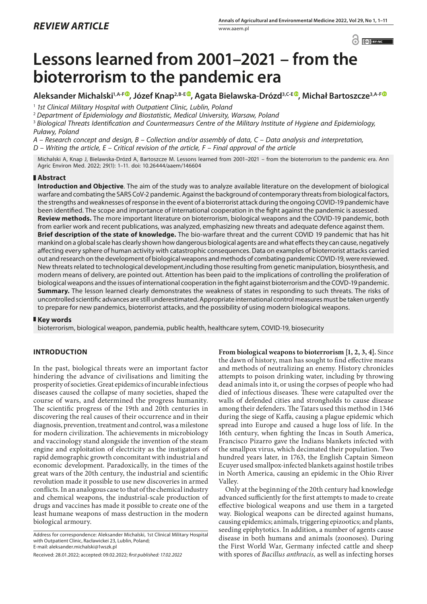$\odot$   $\odot$   $BY-NC$ 

# **Lessons learned from 2001–2021 – from the bioterrorism to the pandemic era**

**Aleksander Michalski1,A-F , Józef Knap2,B-E [,](https://orcid.org/0000-0002-8595-2865) Agata Bielawska-Drózd3,C-E , Michał Bartoszcze3,A-F**

<sup>1</sup> *1st Clinical Military Hospital with Outpatient Clinic, Lublin, Poland*

<sup>2</sup> *Department of Epidemiology and Biostatistic, Medical University, Warsaw, Poland*

<sup>3</sup> *Biological Threats Identification and Countermeasurs Centre of the Military Institute of Hygiene and Epidemiology, Puławy, Poland*

*A – Research concept and design, B – Collection and/or assembly of data, C – Data analysis and interpretation,* 

*D – Writing the article, E – Critical revision of the article, F – Final approval of the article*

Michalski A, Knap J, Bielawska-Drózd A, Bartoszcze M. Lessons learned from 2001–2021 – from the bioterrorism to the pandemic era. Ann Agric Environ Med. 2022; 29(1): 1–11. doi: 10.26444/aaem/146604

## **Abstract**

**Introduction and Objective**. The aim of the study was to analyze available literature on the development of biological warfare and combating the SARS CoV-2 pandemic. Against the background of contemporary threats from biological factors, the strengths and weaknesses of response in the event of a bioterrorist attack during the ongoing COVID-19 pandemic have been identified. The scope and importance of international cooperation in the fight against the pandemic is assessed. **Review methods.** The more important literature on bioterrorism, biological weapons and the COVID-19 pandemic, both from earlier work and recent publications, was analyzed, emphasizing new threats and adequate defence against them. **Brief description of the state of knowledge.** The bio-warfare threat and the current COVID 19 pandemic that has hit mankind on a global scale has clearly shown how dangerous biological agents are and what effects they can cause, negatively affecting every sphere of human activity with catastrophic consequences. Data on examples of bioterrorist attacks carried out and research on the development of biological weapons and methods of combating pandemic COVID-19, were reviewed. New threats related to technological development,including those resulting from genetic manipulation, biosynthesis, and modern means of delivery, are pointed out. Attention has been paid to the implications of controlling the proliferation of biological weapons and the issues of international cooperation in the fight against bioterrorism and the COVD-19 pandemic. **Summary.** The lesson learned clearly demonstrates the weakness of states in responding to such threats. The risks of uncontrolled scientific advances are still underestimated. Appropriate international control measures must be taken urgently to prepare for new pandemics, bioterrorist attacks, and the possibility of using modern biological weapons.

### **Key words**

bioterrorism, biological weapon, pandemia, public health, healthcare sytem, COVID-19, biosecurity

## **INTRODUCTION**

In the past, biological threats were an important factor hindering the advance of civilisations and limiting the prosperity of societies. Great epidemics of incurable infectious diseases caused the collapse of many societies, shaped the course of wars, and determined the progress humanity. The scientific progress of the 19th and 20th centuries in discovering the real causes of their occurrence and in their diagnosis, prevention, treatment and control, was a milestone for modern civilization. The achievements in microbiology and vaccinology stand alongside the invention of the steam engine and exploitation of electricity as the instigators of rapid demographic growth concomitant with industrial and economic development. Paradoxically, in the times of the great wars of the 20th century, the industrial and scientific revolution made it possible to use new discoveries in armed conflicts. In an analogous case to that of the chemical industry and chemical weapons, the industrial-scale production of drugs and vaccines has made it possible to create one of the least humane weapons of mass destruction in the modern biological armoury.

Address for correspondence: Aleksander Michalski, 1st Clinical Military Hospital with Outpatient Clinic, Racławickei 23, Lublin, Poland; E-mail: aleksander.michalski@1wszk.pl

**From biological weapons to bioterrorism [1, 2, 3, 4].** Since the dawn of history, man has sought to find effective means and methods of neutralizing an enemy. History chronicles attempts to poison drinking water, including by throwing dead animals into it, or using the corpses of people who had died of infectious diseases. These were catapulted over the walls of defended cities and strongholds to cause disease among their defenders. The Tatars used this method in 1346 during the siege of Kaffa, causing a plague epidemic which spread into Europe and caused a huge loss of life. In the 16th century, when fighting the Incas in South America, Francisco Pizarro gave the Indians blankets infected with the smallpox virus, which decimated their population. Two hundred years later, in 1763, the English Captain Simeon Ecuyer used smallpox-infected blankets against hostile tribes in North America, causing an epidemic in the Ohio River Valley.

Only at the beginning of the 20th century had knowledge advanced sufficiently for the first attempts to made to create effective biological weapons and use them in a targeted way. Biological weapons can be directed against humans, causing epidemics; animals, triggering epizootics; and plants, seeding epiphytotics. In addition, a number of agents cause disease in both humans and animals (zoonoses). During the First World War, Germany infected cattle and sheep with spores of *Bacillus anthracis,* as well as infecting horses

Received: 28.01.2022; accepted: 09.02.2022; *first published: 17.02.2022*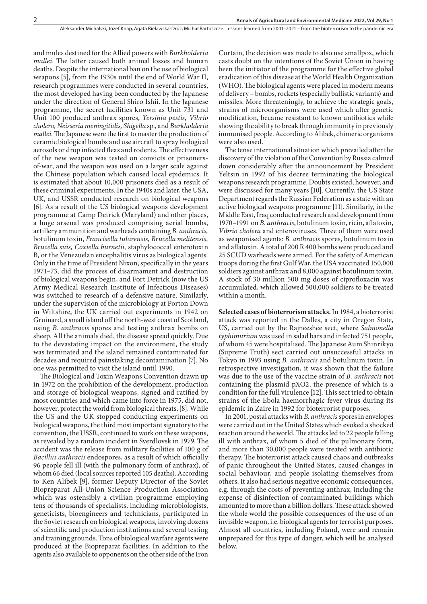and mules destined for the Allied powers with *Burkholderia mallei*. The latter caused both animal losses and human deaths. Despite the international ban on the use of biological weapons [5], from the 1930s until the end of World War II, research programmes were conducted in several countries, the most developed having been conducted by the Japanese under the direction of General Shiro Ishii. In the Japanese programme, the secret facilities known as Unit 731 and Unit 100 produced anthrax spores, *Yersinia pestis, Vibrio cholera, Neisseria meningitidis, Shigella* sp*.*, and *Burkholderia mallei*. The Japanese were the first to master the production of ceramic biological bombs and use aircraft to spray biological aerosols or drop infected fleas and rodents. The effectiveness of the new weapon was tested on convicts or prisonersof-war, and the weapon was used on a larger scale against the Chinese population which caused local epidemics. It is estimated that about 10,000 prisoners died as a result of these criminal experiments. In the 1940s and later, the USA, UK, and USSR conducted research on biological weapons [6]. As a result of the US biological weapons development programme at Camp Detrick (Maryland) and other places, a huge arsenal was produced comprising aerial bombs, artillery ammunition and warheads containing *B. anthracis,*  botulinum toxin, *Francisella tularensis, Brucella melitensis, Brucella suis, Coxiella burnetii,* staphylococcal enterotoxin B*,* or the Venezuelan encephalitis virus as biological agents*.*  Only in the time of President Nixon, specifically in the years 1971–73, did the process of disarmament and destruction of biological weapons begin, and Fort Detrick (now the US Army Medical Research Institute of Infectious Diseases) was switched to research of a defensive nature. Similarly, under the supervision of the microbiology at Porton Down in Wiltshire, the UK carried out experiments in 1942 on Gruinard, a small island off the north-west coast of Scotland, using *B. anthracis* spores and testing anthrax bombs on sheep. All the animals died, the disease spread quickly. Due to the devastating impact on the environment, the study was terminated and the island remained contaminated for decades and required painstaking decontamination [7]. No one was permitted to visit the island until 1990.

The Biological and Toxin Weapons Convention drawn up in 1972 on the prohibition of the development, production and storage of biological weapons, signed and ratified by most countries and which came into force in 1975, did not, however, protect the world from biological threats, [8]. While the US and the UK stopped conducting experiments on biological weapons, the third most important signatory to the convention, the USSR, continued to work on these weapons, as revealed by a random incident in Sverdlovsk in 1979. The accident was the release from military facilities of 100 g of *Bacillus anthracis* endospores, as a result of which officially 96 people fell ill (with the pulmonary form of anthrax), of whom 66 died (local sources reported 105 deaths). According to Ken Alibek [9], former Deputy Director of the Soviet Biopreparat All-Union Science Production Association which was ostensibly a civilian programme employing tens of thousands of specialists, including microbiologists, geneticists, bioengineers and technicians, participated in the Soviet research on biological weapons, involving dozens of scientific and production institutions and several testing and training grounds. Tons of biological warfare agents were produced at the Biopreparat facilities. In addition to the agents also available to opponents on the other side of the Iron

Curtain, the decision was made to also use smallpox, which casts doubt on the intentions of the Soviet Union in having been the initiator of the programme for the effective global eradication of this disease at the World Health Organization (WHO). The biological agents were placed in modern means of delivery – bombs, rockets (especially ballistic variants) and missiles. More threateningly, to achieve the strategic goals, strains of microorganisms were used which after genetic modification, became resistant to known antibiotics while showing the ability to break through immunity in previously immunised people. According to Alibek, chimeric organisms were also used.

The tense international situation which prevailed after the discovery of the violation of the Convention by Russia calmed down considerably after the announcement by President Yeltsin in 1992 of his decree terminating the biological weapons research programme. Doubts existed, however, and were discussed for many years [10]. Currently, the US State Department regards the Russian Federation as a state with an active biological weapons programme [11]. Similarly, in the Middle East, Iraq conducted research and development from 1970–1991 on *B. anthracis*, botulinum toxin, ricin, aflatoxin, *Vibrio cholera* and enteroviruses. Three of them were used as weaponised agents: *B. anthracis* spores, botulinum toxin and aflatoxin. A total of 200 R 400 bombs were produced and 25 SCUD warheads were armed. For the safety of American troops during the first Gulf War, the USA vaccinated 150,000 soldiers against anthrax and 8,000 against botulinum toxin. A stock of 30 million 500 mg doses of ciprofloxacin was accumulated, which allowed 500,000 soldiers to be treated within a month.

**Selected cases of bioterrorism attacks.**In 1984, a bioterrorist attack was reported in the Dalles, a city in Oregon State, US, carried out by the Rajneeshee sect, where *Salmonella typhimurium* was used in salad bars and infected 751 people, of whom 45 were hospitalised. The Japanese Aum Shinrikyo (Supreme Truth) sect carried out unsuccessful attacks in Tokyo in 1993 using *B. anthracis* and botulinum toxin. In retrospective investigation, it was shown that the failure was due to the use of the vaccine strain of *B. anthracis* not containing the plasmid pXO2, the presence of which is a condition for the full virulence [12]. This sect tried to obtain strains of the Ebola haemorrhagic fever virus during its epidemic in Zaire in 1992 for bioterrorist purposes.

In 2001, postal attacks with *B. anthracis* spores in envelopes were carried out in the United States which evoked a shocked reaction around the world. The attacks led to 22 people falling ill with anthrax, of whom 5 died of the pulmonary form, and more than 30,000 people were treated with antibiotic therapy. The bioterrorist attack caused chaos and outbreaks of panic throughout the United States, caused changes in social behaviour, and people isolating themselves from others. It also had serious negative economic consequences, e.g. through the costs of preventing anthrax, including the expense of disinfection of contaminated buildings which amounted to more than a billion dollars. These attack showed the whole world the possible consequences of the use of an invisible weapon, i.e. biological agents for terrorist purposes. Almost all countries, including Poland, were and remain unprepared for this type of danger, which will be analysed below.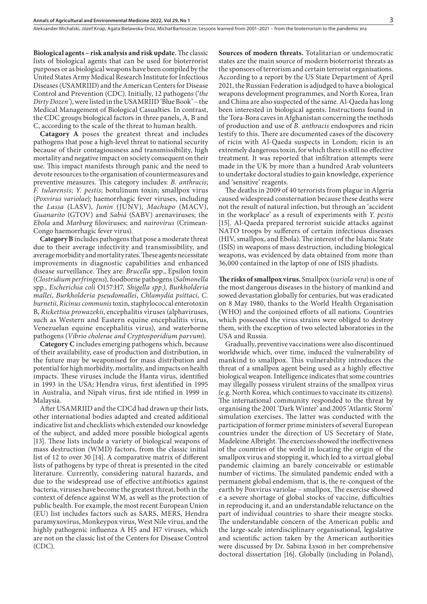**Biological agents – risk analysis and risk update.**The classic lists of biological agents that can be used for bioterrorist purposes or as biological weapons have been compiled by the United States Army Medical Research Institute for Infectious Diseases (USAMRIID) and the American Centers for Disease Control and Prevention (CDC). Initially, 12 pathogens ('*the Dirty Dozen'*), were listed in the USAMRIID 'Blue Book' – the Medical Management of Biological Casualties. In contrast, the CDC groups biological factors in three panels, A, B and C, according to the scale of the threat to human health.

**Catagory A** poses the greatest threat and includes pathogens that pose a high-level threat to national security because of their contagiousness and transmissibility, high mortality and negative impact on society consequent on their use. This impact manifests through panic and the need to devote resources to the organisation of countermeasures and preventive measures. This category includes: *B. anthracis*; *F. tularensis*; *Y. pestis*; botulinum toxin; smallpox virus (*Poxvirus variolae*); haemorrhagic fever viruses, including the *Lassa* (LASV), *Junin* (JUNV), *Machupo* (MACV), *Guanarito* (GTOV) and *Sabiá* (SABV) arenaviruses; the *Ebola* and *Marburg* filoviruses; and *nairovirus* (Crimean-Congo haemorrhagic fever virus)*.*

**Category B** includes pathogens that pose a moderate threat due to their average infectivity and transmissibility, and average morbidity and mortality rates. These agents necessitate improvements in diagnostic capabilities and enhanced disease surveillance. They are: *Brucella* spp*.*, Epsilon toxin (*Clostridium perfringens*), foodborne pathogens (*Salmonella*  spp*., Escherichia coli* O157:H7*, Shigella spp.)*, *Burkholderia mallei*, *Burkholderia pseudomallei*, *Chlamydia psittaci*, *C. burnetii*, *Ricinus communis* toxin, staphylococcal enterotoxin B, *Rickettsia prowazekii*, encephalitis viruses (alphaviruses, such as Western and Eastern equine encephalitis virus, Venezuelan equine encephalitis virus), and waterborne pathogens (*Vibrio cholerae and Cryptosporidium parvum*).

**Category C** includes emerging pathogens which, because of their availability, ease of production and distribution, in the future may be weaponised for mass distribution and potential for high morbidity, mortality, and impacts on health impacts. These viruses include the Hanta virus, identified in 1993 in the USA; Hendra virus, first identified in 1995 in Australia, and Nipah virus, first ide ntified in 1999 in Malaysia.

After USAMRIID and the CDCd had drawn up their lists, other international bodies adapted and created additional indicative list and checklists which extended our knowledge of the subject, and added more possible biological agents [13]. These lists include a variety of biological weapons of mass destruction (WMD) factors, from the classic initial list of 12 to over 30 [14]. A comparative matrix of different lists of pathogens by type of threat is presented in the cited literature. Currently, considering natural hazards, and due to the widespread use of effective antibiotics against bacteria, viruses have become the greatest threat, both in the context of defence against WM, as well as the protection of public health. For example, the most recent European Union (EU) list includes factors such as SARS, MERS, Hendra paramyxovirus, Monkeypox virus, West Nile virus, and the highly pathogenic influenza A H5 and H7 viruses, which are not on the classic list of the Centers for Disease Control (CDC).

**Sources of modern threats.** Totalitarian or undemocratic states are the main source of modern bioterrorist threats as the sponsors of terrorism and certain terrorist organisations. According to a report by the US State Department of April 2021, the Russian Federation is adjudged to have a biological weapons development programmes, and North Korea, Iran and China are also suspected of the same. Al-Qaeda has long been interested in biological agents. Instructions found in the Tora-Bora caves in Afghanistan concerning the methods of production and use of *B. anthracis* endospores and ricin testify to this. There are documented cases of the discovery of ricin with Al-Qaeda suspects in London; ricin is an extremely dangerous toxin, for which there is still no effective treatment. It was reported that infiltration attempts were made in the UK by more than a hundred Arab volunteers to undertake doctoral studies to gain knowledge, experience and 'sensitive' reagents.

The deaths in 2009 of 40 terrorists from plague in Algeria caused widespread consternation because these deaths were not the result of natural infection, but through an 'accident in the workplace' as a result of experiments with *Y. pestis*  [15]*.* Al-Qaeda prepared terrorist suicide attacks against NATO troops by sufferers of certain infectious diseases (HIV, smallpox, and Ebola). The interest of the Islamic State (ISIS) in weapons of mass destruction, including biological weapons, was evidenced by data obtained from more than 36,000 contained in the laptop of one of ISIS jihadists.

**The risks of smallpox virus.** Smallpox (*variola vera*) is one of the most dangerous diseases in the history of mankind and sowed devastation globally for centuries, but was eradicated on 8 May 1980, thanks to the World Health Organisation (WHO) and the conjoined efforts of all nations. Countries which possessed the virus strains were obliged to destroy them, with the exception of two selected laboratories in the USA and Russia.

Gradually, preventive vaccinations were also discontinued worldwide which, over time, induced the vulnerability of mankind to smallpox. This vulnerability introduces the threat of a smallpox agent being used as a highly effective biological weapon. Intelligence indicates that some countries may illegally possess virulent strains of the smallpox virus (e.g. North Korea, which continues to vaccinate its citizens). The international community responded to the threat by organising the 2001 'Dark Winter' and 2005 'Atlantic Storm' simulation exercises. The latter was conducted with the participation of former prime ministers of several European countries under the direction of US Secretary of State, Madeleine Albright. The exercises showed the ineffectiveness of the countries of the world in locating the origin of the smallpox virus and stopping it, which led to a virtual global pandemic claiming an barely conceivable or estimable number of victims. The simulated pandemic ended with a permanent global endemism, that is, the re-conquest of the earth by Poxvirus variolae – smallpox. The exercise showed e a severe shortage of global stocks of vaccine, difficulties in reproducing it, and an understandable reluctance on the part of individual countries to share their meagre stocks. The understandable concern of the American public and the large-scale interdisciplinary organisational, legislative and scientific action taken by the American authorities were discussed by Dr. Sabina Łysoń in her comprehensive doctoral dissertation [16]. Globally (including in Poland),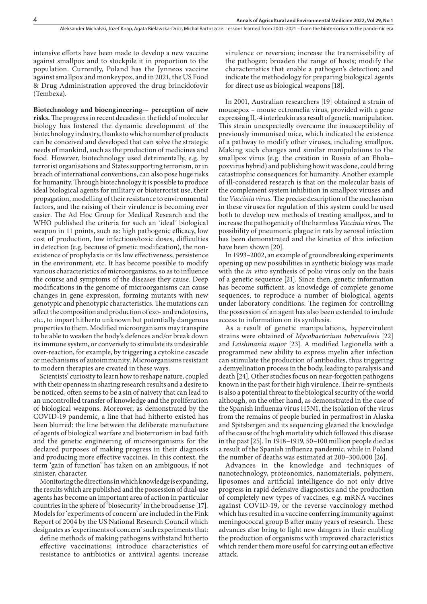intensive efforts have been made to develop a new vaccine against smallpox and to stockpile it in proportion to the population. Currently, Poland has the Jynneos vaccine against smallpox and monkeypox, and in 2021, the US Food & Drug Administration approved the drug brincidofovir (Tembexa).

**Biotechnology and bioengineering-– perception of new risks.**The progress in recent decades in the field of molecular biology has fostered the dynamic development of the biotechnology industry, thanks to which a number of products can be conceived and developed that can solve the strategic needs of mankind, such as the production of medicines and food. However, biotechnology used detrimentally, e.g. by terrorist organisations and States supporting terrorism, or in breach of international conventions, can also pose huge risks for humanity. Through biotechnology it is possible to produce ideal biological agents for military or bioterrorist use, their propagation, modelling of their resistance to environmental factors, and the raising of their virulence is becoming ever easier. The Ad Hoc Group for Medical Research and the WHO published the criteria for such an 'ideal' biological weapon in 11 points, such as: high pathogenic efficacy, low cost of production, low infectious/toxic doses, difficulties in detection (e.g. because of genetic modification), the nonexistence of prophylaxis or its low effectiveness, persistence in the environment, etc. It has become possible to modify various characteristics of microorganisms, so as to influence the course and symptoms of the diseases they cause. Deep modifications in the genome of microorganisms can cause changes in gene expression, forming mutants with new genotypic and phenotypic characteristics. The mutations can affect the composition and production of exo- and endotoxins, etc., to impart hitherto unknown but potentially dangerous properties to them. Modified microorganisms may transpire to be able to weaken the body's defences and/or break down its immune system, or conversely to stimulate its undesirable over-reaction, for example, by triggering a cytokine cascade or mechanisms of autoimmunity. Microorganisms resistant to modern therapies are created in these ways.

Scientists' curiosity to learn how to reshape nature, coupled with their openness in sharing research results and a desire to be noticed, often seems to be a sin of naivety that can lead to an uncontrolled transfer of knowledge and the proliferation of biological weapons. Moreover, as demonstrated by the COVID-19 pandemic, a line that had hitherto existed has been blurred: the line between the deliberate manufacture of agents of biological warfare and bioterrorism in bad faith and the genetic engineering of microorganisms for the declared purposes of making progress in their diagnosis and producing more effective vaccines. In this context, the term 'gain of function' has taken on an ambiguous, if not sinister, character.

Monitoring the directions in which knowledge is expanding, the results which are published and the possession of dual-use agents has become an important area of action in particular countries in the sphere of 'biosecurity' in the broad sense [17]*.* Models for 'experiments of concern' are included in the Fink Report of 2004 by the US National Research Council which designates as 'experiments of concern' such experiments that:

define methods of making pathogens withstand hitherto effective vaccinations; introduce characteristics of resistance to antibiotics or antiviral agents; increase

virulence or reversion; increase the transmissibility of the pathogen; broaden the range of hosts; modify the characteristics that enable a pathogen's detection; and indicate the methodology for preparing biological agents for direct use as biological weapons [18].

In 2001, Australian researchers [19] obtained a strain of mousepox – mouse ectromelia virus, provided with a gene expressing IL-4 interleukin as a result of genetic manipulation. This strain unexpectedly overcame the insusceptibility of previously immunised mice, which indicated the existence of a pathway to modify other viruses, including smallpox. Making such changes and similar manipulations to the smallpox virus (e.g. the creation in Russia of an Ebola– poxvirus hybrid) and publishing how it was done, could bring catastrophic consequences for humanity. Another example of ill-considered research is that on the molecular basis of the complement system inhibition in smallpox viruses and the *Vaccinia virus.* The precise description of the mechanism in these viruses for regulation of this system could be used both to develop new methods of treating smallpox, and to increase the pathogenicity of the harmless *Vaccinia virus*. The possibility of pneumonic plague in rats by aerosol infection has been demonstrated and the kinetics of this infection have been shown [20].

In 1993–2002, an example of groundbreaking experiments opening up new possibilities in synthetic biology was made with the *in vitro* synthesis of polio virus only on the basis of a genetic sequence [21]. Since then, genetic information has become sufficient, as knowledge of complete genome sequences, to reproduce a number of biological agents under laboratory conditions. The regimen for controlling the possession of an agent has also been extended to include access to information on its synthesis.

As a result of genetic manipulations, hypervirulent strains were obtained of *Mycobacterium tuberculosis* [22] and *Leishmania major* [23]*.* A modified Legionella with a programmed new ability to express myelin after infection can stimulate the production of antibodies, thus triggering a demyelination process in the body, leading to paralysis and death [24]. Other studies focus on near-forgotten pathogens known in the past for their high virulence. Their re-synthesis is also a potential threat to the biological security of the world although, on the other hand, as demonstrated in the case of the Spanish influenza virus H5N1, the isolation of the virus from the remains of people buried in permafrost in Alaska and Spitsbergen and its sequencing gleaned the knowledge of the cause of the high mortality which followed this disease in the past [25]. In 1918–1919, 50–100 million people died as a result of the Spanish influenza pandemic, while in Poland the number of deaths was estimated at 200–300,000 [26].

Advances in the knowledge and techniques of nanotechnology, proteonomics, nanomaterials, polymers, liposomes and artificial intelligence do not only drive progress in rapid defensive diagnostics and the production of completely new types of vaccines, e.g. mRNA vaccines against COVID-19, or the reverse vaccinology method which has resulted in a vaccine conferring immunity against meningococcal group B after many years of research. These advances also bring to light new dangers in their enabling the production of organisms with improved characteristics which render them more useful for carrying out an effective attack.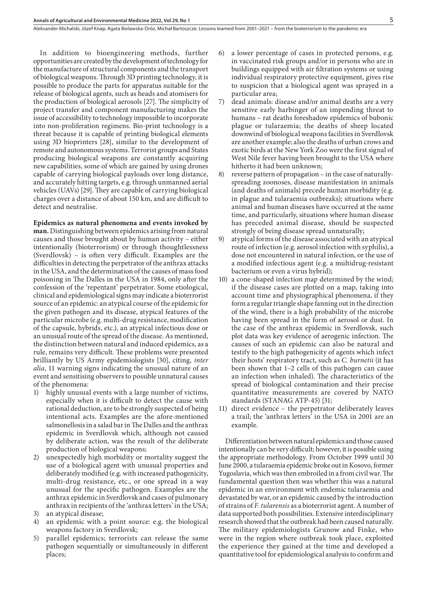In addition to bioengineering methods, further opportunities are created by the development of technology for the manufacture of structural components and the transport of biological weapons. Through 3D printing technology, it is possible to produce the parts for apparatus suitable for the release of biological agents, such as heads and atomisers for the production of biological aerosols [27]. The simplicity of project transfer and component manufacturing makes the issue of accessibility to technology impossible to incorporate into non-proliferation regimens. Bio-print technology is a threat because it is capable of printing biological elements using 3D bioprinters [28], similar to the development of remote and autonomous systems. Terrorist groups and States producing biological weapons are constantly acquiring new capabilities, some of which are gained by using drones capable of carrying biological payloads over long distance, and accurately hitting targets, e.g. through unmanned aerial vehicles (UAVs) [29]. They are capable of carrying biological charges over a distance of about 150 km, and are difficult to detect and neutralise.

**Epidemics as natural phenomena and events invoked by man.** Distinguishing between epidemics arising from natural causes and those brought about by human activity – either intentionally (bioterrorism) or through thoughtlessness (Sverdlovsk) – is often very difficult. Examples are the difficulties in detecting the perpetrator of the anthrax attacks in the USA, and the determination of the causes of mass food poisoning in The Dalles in the USA in 1984, only after the confession of the 'repentant' perpetrator. Some etiological, clinical and epidemiological signs may indicate a bioterrorist source of an epidemic: an atypical course of the epidemic for the given pathogen and its disease, atypical features of the particular microbe (e.g. multi-drug resistance, modification of the capsule, hybrids, etc.), an atypical infectious dose or an unusual route of the spread of the disease. As mentioned, the distinction between natural and induced epidemics, as a rule, remains very difficult. These problems were presented brilliantly by US Army epidemiologists [30], citing, *inter alia*, 11 warning signs indicating the unusual nature of an event and sensitising observers to possible unnatural causes of the phenomena:

- 1) highly unusual events with a large number of victims, especially when it is difficult to detect the cause with rational deduction, are to be strongly suspected of being intentional acts. Examples are the afore-mentioned salmonellosis in a salad bar in The Dalles and the anthrax epidemic in Sverdlovsk which, although not caused by deliberate action, was the result of the deliberate production of biological weapons;
- 2) unexpectedly high morbidity or mortality suggest the use of a biological agent with unusual properties and deliberately modified (e.g. with increased pathogenicity, multi-drug resistance, etc., or one spread in a way unusual for the specific pathogen. Examples are the anthrax epidemic in Sverdlovsk and cases of pulmonary anthrax in recipients of the 'anthrax letters' in the USA;
- 3) an atypical disease;
- 4) an epidemic with a point source: e.g. the biological weapons factory in Sverdlovsk;
- 5) parallel epidemics; terrorists can release the same pathogen sequentially or simultaneously in different places;
- 6) a lower percentage of cases in protected persons, e.g. in vaccinated risk groups and/or in persons who are in buildings equipped with air filtration systems or using individual respiratory protective equipment, gives rise to suspicion that a biological agent was sprayed in a particular area;
- 7) dead animals: disease and/or animal deaths are a very sensitive early harbinger of an impending threat to humans – rat deaths foreshadow epidemics of bubonic plague or tularaemia; the deaths of sheep located downwind of biological weapons facilities in Sverdlovsk are another example; also the deaths of urban crows and exotic birds at the New York Zoo were the first signal of West Nile fever having been brought to the USA where hitherto it had been unknown;
- reverse pattern of propagation in the case of naturallyspreading zoonoses, disease manifestation in animals (and deaths of animals) precede human morbidity (e.g. in plague and tularaemia outbreaks); situations where animal and human diseases have occurred at the same time, and particularly, situations where human disease has preceded animal disease, should be suspected strongly of being disease spread unnaturally;
- 9) atypical forms of the disease associated with an atypical route of infection (e.g. aerosol infection with syphilis), a dose not encountered in natural infection, or the use of a modified infectious agent (e.g. a multidrug-resistant bacterium or even a virus hybrid);
- 10) a cone-shaped infection map determined by the wind; if the disease cases are plotted on a map, taking into account time and physiographical phenomena, if they form a regular triangle shape fanning out in the direction of the wind, there is a high probability of the microbe having been spread in the form of aerosol or dust. In the case of the anthrax epidemic in Sverdlovsk, such plot data was key evidence of aerogenic infection. The causes of such an epidemic can also be natural and testify to the high pathogenicity of agents which infect their hosts' respiratory tract, such as *C. burnetii* (it has been shown that 1–2 cells of this pathogen can cause an infection when inhaled). The characteristics of the spread of biological contamination and their precise quantitative measurements are covered by NATO standards (STANAG ATP-45) [31;
- 11) direct evidence the perpetrator deliberately leaves a trail; the 'anthrax letters' in the USA in 2001 are an example.

Differentiation between natural epidemics and those caused intentionally can be very difficult; however, it is possible using the appropriate methodology. From October 1999 until 30 June 2000, a tularaemia epidemic broke out in Kosovo, former Yugoslavia, which was then embroiled in a from civil war. The fundamental question then was whether this was a natural epidemic in an environment with endemic tularaemia and devastated by war, or an epidemic caused by the introduction of strains of *F. tularensis* as a bioterrorist agent. A number of data supported both possibilities. Extensive interdisciplinary research showed that the outbreak had been caused naturally. The military epidemiologists Grunow and Finke, who were in the region where outbreak took place, exploited the experience they gained at the time and developed a quantitative tool for epidemiological analysis to confirm and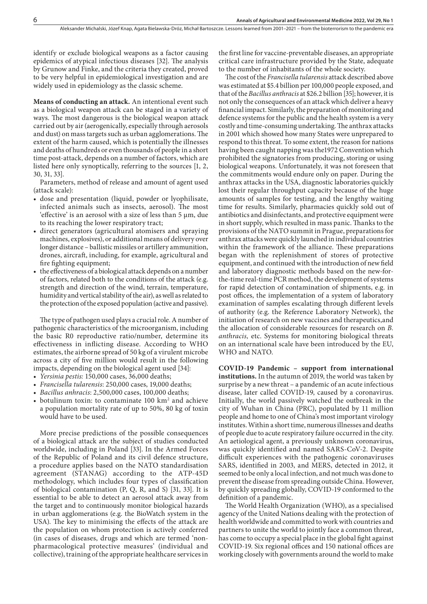identify or exclude biological weapons as a factor causing epidemics of atypical infectious diseases [32]. The analysis by Grunow and Finke, and the criteria they created, proved to be very helpful in epidemiological investigation and are widely used in epidemiology as the classic scheme.

**Means of conducting an attack.** An intentional event such as a biological weapon attack can be staged in a variety of ways. The most dangerous is the biological weapon attack carried out by air (aerogenically, especially through aerosols and dust) on mass targets such as urban agglomerations. The extent of the harm caused, which is potentially the illnesses and deaths of hundreds or even thousands of people in a short time post-attack, depends on a number of factors, which are listed here only synoptically, referring to the sources [1, 2, 30, 31, 33].

Parameters, method of release and amount of agent used (attack scale):

- dose and presentation (liquid, powder or lyophilisate, infected animals such as insects, aerosol). The most 'effective' is an aerosol with a size of less than 5 µm, due to its reaching the lower respiratory tract;
- direct generators (agricultural atomisers and spraying machines, explosives), or additional means of delivery over longer distance – ballistic missiles or artillery ammunition, drones, aircraft, including, for example, agricultural and fire fighting equipment;
- the effectiveness of a biological attack depends on a number of factors, related both to the conditions of the attack (e.g. strength and direction of the wind, terrain, temperature, humidity and vertical stability of the air), as well as related to the protection of the exposed population (active and passive).

The type of pathogen used plays a crucial role. A number of pathogenic characteristics of the microorganism, including the basic R0 reproductive ratio/number, determine its effectiveness in inflicting disease. According to WHO estimates, the airborne spread of 50 kg of a virulent microbe across a city of five million would result in the following impacts, depending on the biological agent used [34]:

- • *Yersinia pestis:* 150,000 cases, 36,000 deaths;
- • *Francisella tularensis*: 250,000 cases, 19,000 deaths;
- • *Bacillus anhracis*: 2,500,000 cases, 100,000 deaths;
- botulinum toxin: to contaminate 100 km<sup>2</sup> and achieve a population mortality rate of up to 50%, 80 kg of toxin would have to be used.

More precise predictions of the possible consequences of a biological attack are the subject of studies conducted worldwide, including in Poland [33]. In the Armed Forces of the Republic of Poland and its civil defence structure, a procedure applies based on the NATO standardisation agreement (STANAG) according to the ATP-45D methodology, which includes four types of classification of biological contamination (P, Q, R, and S) [31, 33]. It is essential to be able to detect an aerosol attack away from the target and to continuously monitor biological hazards in urban agglomerations (e.g. the BioWatch system in the USA). The key to minimising the effects of the attack are the population on whom protection is actively conferred (in cases of diseases, drugs and which are termed 'nonpharmacological protective measures' (individual and collective), training of the appropriate healthcare services in

the first line for vaccine-preventable diseases, an appropriate critical care infrastructure provided by the State, adequate to the number of inhabitants of the whole society.

The cost of the *Francisella tularensis* attack described above was estimated at \$5.4 billion per 100,000 people exposed, and that of the *Bacillus anthracis* at \$26.2 billion [35]; however, it is not only the consequences of an attack which deliver a heavy financial impact. Similarly, the preparation of monitoring and defence systems for the public and the health system is a very costly and time-consuming undertaking. The anthrax attacks in 2001 which showed how many States were unprepared to respond to this threat. To some extent, the reason for nations having been caught napping was the1972 Convention which prohibited the signatories from producing, storing or using biological weapons. Unfortunately, it was not foreseen that the commitments would endure only on paper. During the anthrax attacks in the USA, diagnostic laboratories quickly lost their regular throughput capacity because of the huge amounts of samples for testing, and the lengthy waiting time for results. Similarly, pharmacies quickly sold out of antibiotics and disinfectants, and protective equipment were in short supply, which resulted in mass panic. Thanks to the provisions of the NATO summit in Prague, preparations for anthrax attacks were quickly launched in individual countries within the framework of the alliance. These preparations began with the replenishment of stores of protective equipment, and continued with the introduction of new field and laboratory diagnostic methods based on the new-forthe-time real-time PCR method, the development of systems for rapid detection of contamination of shipments, e.g. in post offices, the implementation of a system of laboratory examination of samples escalating through different levels of authority (e.g. the Reference Laboratory Network), the initiation of research on new vaccines and therapeutics,and the allocation of considerable resources for research on *B. anthracis,* etc. Systems for monitoring biological threats on an international scale have been introduced by the EU, WHO and NATO.

**COVID-19 Pandemic – support from international institutions.** In the autumn of 2019, the world was taken by surprise by a new threat – a pandemic of an acute infectious disease, later called COVID-19, caused by a coronavirus. Initially, the world passively watched the outbreak in the city of Wuhan in China (PRC), populated by 11 million people and home to one of China's most important virology institutes. Within a short time, numerous illnesses and deaths of people due to acute respiratory failure occurred in the city. An aetiological agent, a previously unknown coronavirus, was quickly identified and named SARS-CoV-2. Despite difficult experiences with the pathogenic coronaviruses SARS, identified in 2003, and MERS, detected in 2012, it seemed to be only a local infection, and not much was done to prevent the disease from spreading outside China. However, by quickly spreading globally, COVID-19 conformed to the definition of a pandemic.

The World Health Organization (WHO), as a specialised agency of the United Nations dealing with the protection of health worldwide and committed to work with countries and partners to unite the world to jointly face a common threat, has come to occupy a special place in the global fight against COVID-19. Six regional offices and 150 national offices are working closely with governments around the world to make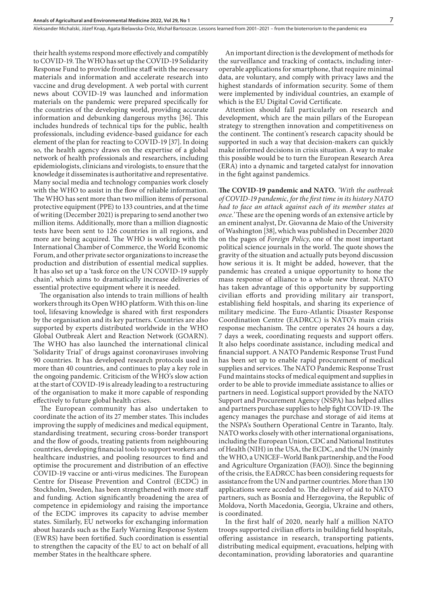their health systems respond more effectively and compatibly to COVID-19. The WHO has set up the COVID-19 Solidarity Response Fund to provide frontline staff with the necessary materials and information and accelerate research into vaccine and drug development. A web portal with current news about COVID-19 was launched and information materials on the pandemic were prepared specifically for the countries of the developing world, providing accurate information and debunking dangerous myths [36]. This includes hundreds of technical tips for the public, health professionals, including evidence-based guidance for each element of the plan for reacting to COVID-19 [37]. In doing so, the health agency draws on the expertise of a global network of health professionals and researchers, including epidemiologists, clinicians and virologists, to ensure that the knowledge it disseminates is authoritative and representative. Many social media and technology companies work closely with the WHO to assist in the flow of reliable information. The WHO has sent more than two million items of personal protective equipment (PPE) to 133 countries, and at the time of writing (December 2021) is preparing to send another two million items. Additionally, more than a million diagnostic tests have been sent to 126 countries in all regions, and more are being acquired. The WHO is working with the International Chamber of Commerce, the World Economic Forum, and other private sector organizations to increase the production and distribution of essential medical supplies. It has also set up a 'task force on the UN COVID-19 supply chain', which aims to dramatically increase deliveries of essential protective equipment where it is needed.

The organisation also intends to train millions of health workers through its Open WHO platform. With this on-line tool, lifesaving knowledge is shared with first responders by the organisation and its key partners. Countries are also supported by experts distributed worldwide in the WHO Global Outbreak Alert and Reaction Network (GOARN). The WHO has also launched the international clinical 'Solidarity Trial' of drugs against coronaviruses involving 90 countries. It has developed research protocols used in more than 40 countries, and continues to play a key role in the ongoing pandemic. Criticism of the WHO's slow action at the start of COVID-19 is already leading to a restructuring of the organisation to make it more capable of responding effectively to future global health crises.

The European community has also undertaken to coordinate the action of its 27 member states. This includes improving the supply of medicines and medical equipment, standardising treatment, securing cross-border transport and the flow of goods, treating patients from neighbouring countries, developing financial tools to support workers and healthcare industries, and pooling resources to find and optimise the procurement and distribution of an effective COVID-19 vaccine or anti-virus medicines. The European Centre for Disease Prevention and Control (ECDC) in Stockholm, Sweden, has been strengthened with more staff and funding. Action significantly broadening the area of competence in epidemiology and raising the importance of the ECDC improves its capacity to advise member states. Similarly, EU networks for exchanging information about hazards such as the Early Warning Response System (EWRS) have been fortified. Such coordination is essential to strengthen the capacity of the EU to act on behalf of all member States in the healthcare sphere.

An important direction is the development of methods for the surveillance and tracking of contacts, including interoperable applications for smartphone, that require minimal data, are voluntary, and comply with privacy laws and the highest standards of information security. Some of them were implemented by individual countries, an example of which is the EU Digital Covid Certificate.

Attention should fall particularly on research and development, which are the main pillars of the European strategy to strengthen innovation and competitiveness on the continent. The continent's research capacity should be supported in such a way that decision-makers can quickly make informed decisions in crisis situation. A way to make this possible would be to turn the European Research Area (ERA) into a dynamic and targeted catalyst for innovation in the fight against pandemics.

**The COVID-19 pandemic and NATO.** *'With the outbreak of COVID-19 pandemic, for the first time in its history NATO had to face an attack against each of its member states at once.'* These are the opening words of an extensive article by an eminent analyst, Dr. Giovanna de Maio of the University of Washington [38], which was published in December 2020 on the pages of *Foreign Policy*, one of the most important political science journals in the world. The quote shows the gravity of the situation and actually puts beyond discussion how serious it is. It might be added, however, that the pandemic has created a unique opportunity to hone the mass response of alliance to a whole new threat. NATO has taken advantage of this opportunity by supporting civilian efforts and providing military air transport, establishing field hospitals, and sharing its experience of military medicine. The Euro-Atlantic Disaster Response Coordination Centre (EADRCC) is NATO's main crisis response mechanism. The centre operates 24 hours a day, 7 days a week, coordinating requests and support offers. It also helps coordinate assistance, including medical and financial support. A NATO Pandemic Response Trust Fund has been set up to enable rapid procurement of medical supplies and services. The NATO Pandemic Response Trust Fund maintains stocks of medical equipment and supplies in order to be able to provide immediate assistance to allies or partners in need. Logistical support provided by the NATO Support and Procurement Agency (NSPA) has helped allies and partners purchase supplies to help fight COVID-19. The agency manages the purchase and storage of aid items at the NSPA's Southern Operational Centre in Taranto, Italy. NATO works closely with other international organisations, including the European Union, CDC and National Institutes of Health (NIH) in the USA, the ECDC, and the UN (mainly the WHO, a UNICEF–World Bank partnership, and the Food and Agriculture Organization (FAO)). Since the beginning of the crisis, the EADRCC has been considering requests for assistance from the UN and partner countries. More than 130 applications were acceded to. The delivery of aid to NATO partners, such as Bosnia and Herzegovina, the Republic of Moldova, North Macedonia, Georgia, Ukraine and others, is coordinated.

In the first half of 2020, nearly half a million NATO troops supported civilian efforts in building field hospitals, offering assistance in research, transporting patients, distributing medical equipment, evacuations, helping with decontamination, providing laboratories and quarantine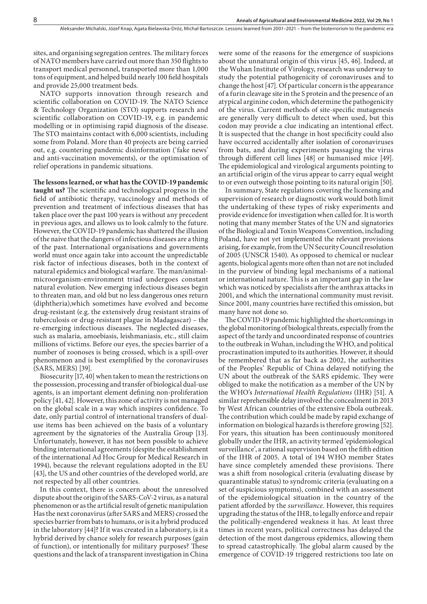sites, and organising segregation centres. The military forces of NATO members have carried out more than 350 flights to transport medical personnel, transported more than 1,000 tons of equipment, and helped build nearly 100 field hospitals and provide 25,000 treatment beds.

NATO supports innovation through research and scientific collaboration on COVID-19. The NATO Science & Technology Organization (STO) supports research and scientific collaboration on COVID-19, e.g. in pandemic modelling or in optimising rapid diagnosis of the disease. The STO maintains contact with 6,000 scientists, including some from Poland. More than 40 projects are being carried out, e.g. countering pandemic disinformation ('fake news' and anti-vaccination movements), or the optimisation of relief operations in pandemic situations.

**The lessons learned, or what has the COVID-19 pandemic taught us?** The scientific and technological progress in the field of antibiotic therapy, vaccinology and methods of prevention and treatment of infectious diseases that has taken place over the past 100 years is without any precedent in previous ages, and allows us to look calmly to the future. However, the COVID-19 pandemic has shattered the illusion of the naive that the dangers of infectious diseases are a thing of the past. International organisations and governments world must once again take into account the unpredictable risk factor of infectious diseases, both in the context of natural epidemics and biological warfare. The man/animalmicroorganism-environment triad undergoes constant natural evolution. New emerging infectious diseases begin to threaten man, and old but no less dangerous ones return (diphtheria),which sometimes have evolved and become drug-resistant (e.g. the extensively drug resistant strains of tuberculosis or drug-resistant plague in Madagascar) – the re-emerging infectious diseases*.* The neglected diseases, such as malaria, amoebiasis, leishmaniasis, etc., still claim millions of victims. Before our eyes, the species barrier of a number of zoonoses is being crossed, which is a spill-over

Biosecurity [17, 40] when taken to mean the restrictions on the possession, processing and transfer of biological dual-use agents, is an important element defining non-proliferation policy [41, 42]. However, this zone of activity is not managed on the global scale in a way which inspires confidence. To date, only partial control of international transfers of dualuse items has been achieved on the basis of a voluntary agreement by the signatories of the Australia Group [13]. Unfortunately, however, it has not been possible to achieve binding international agreements (despite the establishment of the international Ad Hoc Group for Medical Research in 1994), because the relevant regulations adopted in the EU [43], the US and other countries of the developed world, are not respected by all other countries.

phenomenon and is best exemplified by the coronaviruses

(SARS, MERS) [39].

In this context, there is concern about the unresolved dispute about the origin of the SARS-CoV-2 virus, as a natural phenomenon or as the artificial result of genetic manipulation Has the next coronavirus (after SARS and MERS) crossed the species barrier from bats to humans, or is it a hybrid produced in the laboratory [44]? If it was created in a laboratory, is it a hybrid derived by chance solely for research purposes (gain of function), or intentionally for military purposes? These questions and the lack of a transparent investigation in China

were some of the reasons for the emergence of suspicions about the unnatural origin of this virus [45, 46]. Indeed, at the Wuhan Institute of Virology, research was underway to study the potential pathogenicity of coronaviruses and to change the host [47]. Of particular concern is the appearance of a furin cleavage site in the S protein and the presence of an atypical arginine codon, which determine the pathogenicity of the virus. Current methods of site-specific mutagenesis are generally very difficult to detect when used, but this codon may provide a clue indicating an intentional effect. It is suspected that the change in host specificity could also have occurred accidentally after isolation of coronaviruses from bats, and during experiments passaging the virus through different cell lines [48] or humanised mice [49]. The epidemiological and virological arguments pointing to an artificial origin of the virus appear to carry equal weight to or even outweigh those pointing to its natural origin [50].

In summary, State regulations covering the licensing and supervision of research or diagnostic work would both limit the undertaking of these types of risky experiments and provide evidence for investigation when called for. It is worth noting that many member States of the UN and signatories of the Biological and Toxin Weapons Convention, including Poland, have not yet implemented the relevant provisions arising, for example, from the UN Security Council resolution of 2005 (UNSCR 1540). As opposed to chemical or nuclear agents, biological agents more often than not are not included in the purview of binding legal mechanisms of a national or international nature. This is an important gap in the law which was noticed by specialists after the anthrax attacks in 2001, and which the international community must revisit. Since 2001, many countries have rectified this omission, but many have not done so.

The COVID-19 pandemic highlighted the shortcomings in the global monitoring of biological threats, especially from the aspect of the tardy and uncoordinated response of countries to the outbreak in Wuhan, including the WHO, and political procrastination imputed to its authorities. However, it should be remembered that as far back as 2002, the authorities of the Peoples' Republic of China delayed notifying the UN about the outbreak of the SARS epidemic. They were obliged to make the notification as a member of the UN by the WHO's *International Health Regulations* (IHR) [51]. A similar reprehensible delay involved the concealment in 2013 by West African countries of the extensive Ebola outbreak. The contribution which could be made by rapid exchange of information on biological hazards is therefore growing [52]. For years, this situation has been continuously monitored globally under the IHR, an activity termed 'epidemiological surveillance', a rational supervision based on the fifth edition of the IHR of 2005. A total of 194 WHO member States have since completely amended these provisions. There was a shift from nosological criteria (evaluating disease by quarantinable status) to syndromic criteria (evaluating on a set of suspicious symptoms), combined with an assessment of the epidemiological situation in the country of the patient afforded by the *surveillance.* However, this requires upgrading the status of the IHR, to legally enforce and repair the politically-engendered weakness it has. At least three times in recent years, political correctness has delayed the detection of the most dangerous epidemics, allowing them to spread catastrophically. The global alarm caused by the emergence of COVID-19 triggered restrictions too late on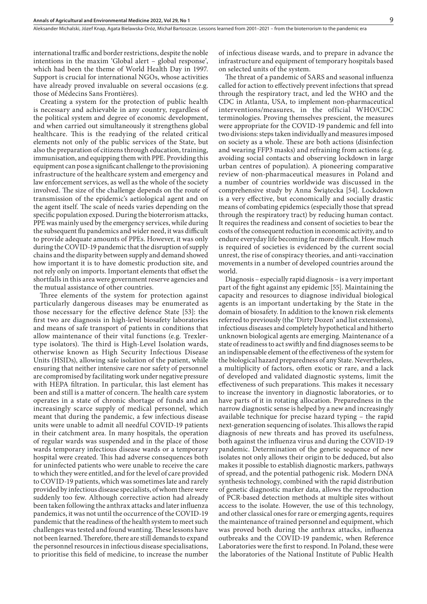international traffic and border restrictions, despite the noble intentions in the maxim 'Global alert – global response', which had been the theme of World Health Day in 1997. Support is crucial for international NGOs, whose activities have already proved invaluable on several occasions (e.g. those of Médecins Sans Frontières)*.*

Creating a system for the protection of public health is necessary and achievable in any country, regardless of the political system and degree of economic development, and when carried out simultaneously it strengthens global healthcare. This is the readying of the related critical elements not only of the public services of the State, but also the preparation of citizens through education, training, immunisation, and equipping them with PPE. Providing this equipment can pose a significant challenge to the provisioning infrastructure of the healthcare system and emergency and law enforcement services, as well as the whole of the society involved. The size of the challenge depends on the route of transmission of the epidemic's aetiological agent and on the agent itself. The scale of needs varies depending on the specific population exposed. During the bioterrorism attacks, PPE was mainly used by the emergency services, while during the subsequent flu pandemics and wider need, it was difficult to provide adequate amounts of PPEs. However, it was only during the COVID-19 pandemic that the disruption of supply chains and the disparity between supply and demand showed how important it is to have domestic production site, and not rely only on imports. Important elements that offset the shortfalls in this area were government reserve agencies and the mutual assistance of other countries.

Three elements of the system for protection against particularly dangerous diseases may be enumerated as those necessary for the effective defence State [53]: the first two are diagnosis in high-level biosafety laboratories and means of safe transport of patients in conditions that allow maintenance of their vital functions (e.g. Trexlertype isolators). The third is High-Level Isolation wards, otherwise known as High Security Infectious Disease Units (HSIDs), allowing safe isolation of the patient, while ensuring that neither intensive care nor safety of personnel are compromised by facilitating work under negative pressure with HEPA filtration. In particular, this last element has been and still is a matter of concern. The health care system operates in a state of chronic shortage of funds and an increasingly scarce supply of medical personnel, which meant that during the pandemic, a few infectious disease units were unable to admit all needful COVID-19 patients in their catchment area. In many hospitals, the operation of regular wards was suspended and in the place of those wards temporary infectious disease wards or a temporary hospital were created. This had adverse consequences both for uninfected patients who were unable to receive the care to which they were entitled, and for the level of care provided to COVID-19 patients, which was sometimes late and rarely provided by infectious disease specialists, of whom there were suddenly too few. Although corrective action had already been taken following the anthrax attacks and later influenza pandemics, it was not until the occurrence of the COVID-19 pandemic that the readiness of the health system to meet such challenges was tested and found wanting. These lessons have not been learned. Therefore, there are still demands to expand the personnel resources in infectious disease specialisations, to prioritise this field of medicine, to increase the number

of infectious disease wards, and to prepare in advance the infrastructure and equipment of temporary hospitals based on selected units of the system.

The threat of a pandemic of SARS and seasonal influenza called for action to effectively prevent infections that spread through the respiratory tract, and led the WHO and the CDC in Atlanta, USA, to implement non-pharmaceutical interventions/measures, in the official WHO/CDC terminologies. Proving themselves prescient, the measures were appropriate for the COVID-19 pandemic and fell into two divisions: steps taken individually and measures imposed on society as a whole. These are both actions (disinfection and wearing FFP3 masks) and refraining from actions (e.g. avoiding social contacts and observing lockdown in large urban centres of population). A pioneering comparative review of non-pharmaceutical measures in Poland and a number of countries worldwide was discussed in the comprehensive study by Anna Świątecka [54]. Lockdown is a very effective, but economically and socially drastic means of combating epidemics (especially those that spread through the respiratory tract) by reducing human contact. It requires the readiness and consent of societies to bear the costs of the consequent reduction in economic activity, and to endure everyday life becoming far more difficult. How much is required of societies is evidenced by the current social unrest, the rise of conspiracy theories, and anti-vaccination movements in a number of developed countries around the world.

Diagnosis – especially rapid diagnosis – is a very important part of the fight against any epidemic [55]. Maintaining the capacity and resources to diagnose individual biological agents is an important undertaking by the State in the domain of biosafety. In addition to the known risk elements referred to previously (the 'Dirty Dozen' and list extensions), infectious diseases and completely hypothetical and hitherto unknown biological agents are emerging. Maintenance of a state of readiness to act swiftly and find diagnoses seems to be an indispensable element of the effectiveness of the system for the biological hazard preparedness of any State. Nevertheless, a multiplicity of factors, often exotic or rare, and a lack of developed and validated diagnostic systems, limit the effectiveness of such preparations. This makes it necessary to increase the inventory in diagnostic laboratories, or to have parts of it in rotating allocation. Preparedness in the narrow diagnostic sense is helped by a new and increasingly available technique for precise hazard typing – the rapid next-generation sequencing of isolates. This allows the rapid diagnosis of new threats and has proved its usefulness, both against the influenza virus and during the COVID-19 pandemic. Determination of the genetic sequence of new isolates not only allows their origin to be deduced, but also makes it possible to establish diagnostic markers, pathways of spread, and the potential pathogenic risk. Modern DNA synthesis technology, combined with the rapid distribution of genetic diagnostic marker data, allows the reproduction of PCR-based detection methods at multiple sites without access to the isolate. However, the use of this technology, and other classical ones for rare or emerging agents, requires the maintenance of trained personnel and equipment, which was proved both during the anthrax attacks, influenza outbreaks and the COVID-19 pandemic, when Reference Laboratories were the first to respond. In Poland, these were the laboratories of the National Institute of Public Health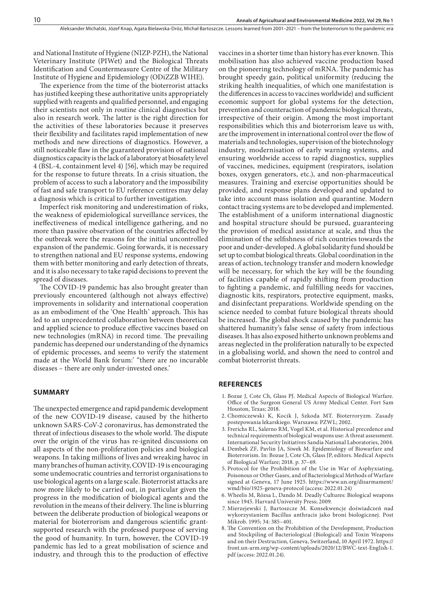and National Institute of Hygiene (NIZP-PZH), the National Veterinary Institute (PIWet) and the Biological Threats Identification and Countermeasure Centre of the Military Institute of Hygiene and Epidemiology (ODiZZB WIHE).

The experience from the time of the bioterrorist attacks has justified keeping these authoritative units appropriately supplied with reagents and qualified personnel, and engaging their scientists not only in routine clinical diagnostics but also in research work. The latter is the right direction for the activities of these laboratories because it preserves their flexibility and facilitates rapid implementation of new methods and new directions of diagnostics. However, a still noticeable flaw in the guaranteed provision of national diagnostics capacity is the lack of a laboratory at biosafety level 4 (BSL-4, containment level 4) [56], which may be required for the response to future threats. In a crisis situation, the problem of access to such a laboratory and the impossibility of fast and safe transport to EU reference centres may delay a diagnosis which is critical to further investigation.

Imperfect risk monitoring and underestimation of risks, the weakness of epidemiological surveillance services, the ineffectiveness of medical intelligence gathering, and no more than passive observation of the countries affected by the outbreak were the reasons for the initial uncontrolled expansion of the pandemic. Going forwards, it is necessary to strengthen national and EU response systems, endowing them with better monitoring and early detection of threats, and it is also necessary to take rapid decisions to prevent the spread of diseases.

The COVID-19 pandemic has also brought greater than previously encountered (although not always effective) improvements in solidarity and international cooperation as an embodiment of the 'One Health' approach. This has led to an unprecedented collaboration between theoretical and applied science to produce effective vaccines based on new technologies (mRNA) in record time. The prevailing pandemic has deepened our understanding of the dynamics of epidemic processes, and seems to verify the statement made at the World Bank forum:' "there are no incurable diseases – there are only under-invested ones.'

#### **SUMMARY**

The unexpected emergence and rapid pandemic development of the new COVID-19 disease, caused by the hitherto unknown SARS-CoV-2 coronavirus, has demonstrated the threat of infectious diseases to the whole world. The dispute over the origin of the virus has re-ignited discussions on all aspects of the non-proliferation policies and biological weapons. In taking millions of lives and wreaking havoc in many branches of human activity, COVID-19 is encouraging some undemocratic countries and terrorist organisations to use biological agents on a large scale. Bioterrorist attacks are now more likely to be carried out, in particular given the progress in the modification of biological agents and the revolution in the means of their delivery. The line is blurring between the deliberate production of biological weapons or material for bioterrorism and dangerous scientific grantsupported research with the professed purpose of serving the good of humanity. In turn, however, the COVID-19 pandemic has led to a great mobilisation of science and industry, and through this to the production of effective

vaccines in a shorter time than history has ever known. This mobilisation has also achieved vaccine production based on the pioneering technology of mRNA. The pandemic has brought speedy gain, political uniformity (reducing the striking health inequalities, of which one manifestation is the differences in access to vaccines worldwide) and sufficient economic support for global systems for the detection, prevention and counteraction of pandemic biological threats, irrespective of their origin. Among the most important responsibilities which this and bioterrorism leave us with, are the improvement in international control over the flow of materials and technologies, supervision of the biotechnology industry, modernisation of early warning systems, and ensuring worldwide access to rapid diagnostics, supplies of vaccines, medicines, equipment (respirators, isolation boxes, oxygen generators, etc.), and non-pharmaceutical measures. Training and exercise opportunities should be provided, and response plans developed and updated to take into account mass isolation and quarantine. Modern contact tracing systems are to be developed and implemented. The establishment of a uniform international diagnostic and hospital structure should be pursued, guaranteeing the provision of medical assistance at scale, and thus the elimination of the selfishness of rich countries towards the poor and under-developed. A global solidarity fund should be set up to combat biological threats. Global coordination in the areas of action, technology transfer and modern knowledge will be necessary, for which the key will be the founding of facilities capable of rapidly shifting from production to fighting a pandemic, and fulfilling needs for vaccines, diagnostic kits, respirators, protective equipment, masks, and disinfectant preparations. Worldwide spending on the science needed to combat future biological threats should be increased. The global shock caused by the pandemic has shattered humanity's false sense of safety from infectious diseases. It has also exposed hitherto unknown problems and areas neglected in the proliferation naturally to be expected in a globalising world, and shown the need to control and combat bioterrorist threats.

#### **REFERENCES**

- 1. Bozue J, Cote Ch, Glass PJ. Medical Aspects of Biological Warfare. Office of the Surgeon General US Army Medical Center. Fort Sam Houston, Texas; 2018.
- 2. Chomiczewski K, Kocik J, Szkoda MT. Bioterroryzm. Zasady postepowania lekarskiego. Warszawa: PZWL; 2002.
- 3. Frerichs RL, Salerno RM, Vogel KM, et al. Historical precedence and technical requirements of biological weapons use: A threat assessment. International Security Initiatives Sandia National Laboratories, 2004.
- 4. Dembek ZF, Pavlin JA, Siwek M. Epidemiology of Biowarfare and Bioterrorism. In: Bozue J, Cote Ch, Glass JP, editors. Medical Aspects of Biological Warfare; 2018. p. 37–69.
- 5. Protocol for the Prohibition of the Use in War of Asphyxiating, Poisonous or Other Gases, and of Bacteriological Methods of Warfare signed at Geneva, 17 June 1925. https://www.un.org/disarmament/ wmd/bio/1925-geneva-protocol (access: 2022.01.24)
- 6. Wheelis M, Rózsa L, Dando M. Deadly Cultures: Biological weapons since 1945. Harvard University Press; 2009.
- 7. Mierzejewski J, Bartoszcze M. Konsekwencje doświadczeń nad wykorzystaniem Bacillus anthracis jako broni biologicznej. Post Mikrob. 1995; 34: 385–401.
- 8. The Convention on the Prohibition of the Development, Production and Stockpiling of Bacteriological (Biological) and Toxin Weapons and on their Destruction, Geneva, Switzerland, 10 April 1972. https:// front.un-arm.org/wp-content/uploads/2020/12/BWC-text-English-1. pdf (access: 2022.01.24).